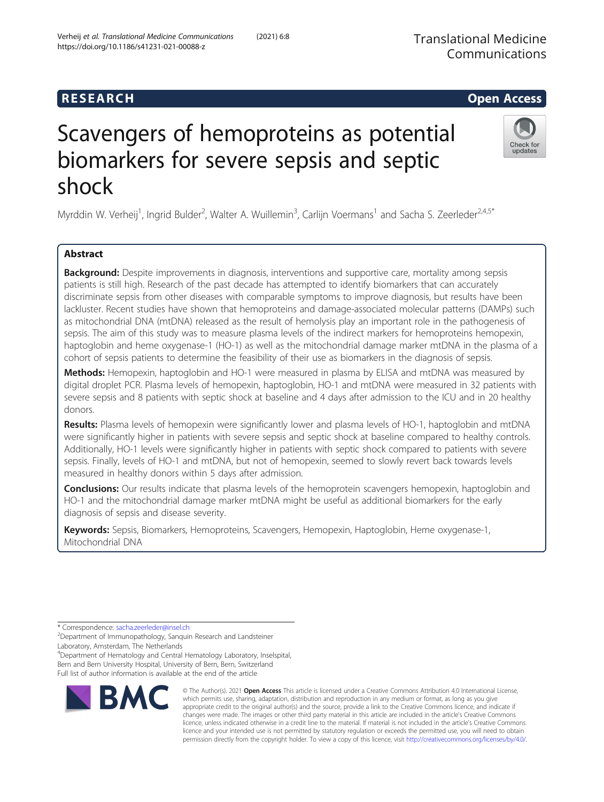# **RESEARCH CHEAR CHEAR CHEAR CHEAR CHEAR CHEAR CHEAR CHEAR CHEAR CHEAR CHEAR CHEAR CHEAR CHEAR CHEAR CHEAR CHEAR**

# Scavengers of hemoproteins as potential biomarkers for severe sepsis and septic shock

Myrddin W. Verheij<sup>1</sup>, Ingrid Bulder<sup>2</sup>, Walter A. Wuillemin<sup>3</sup>, Carlijn Voermans<sup>1</sup> and Sacha S. Zeerleder<sup>2,4,5\*</sup>

# Abstract

Background: Despite improvements in diagnosis, interventions and supportive care, mortality among sepsis patients is still high. Research of the past decade has attempted to identify biomarkers that can accurately discriminate sepsis from other diseases with comparable symptoms to improve diagnosis, but results have been lackluster. Recent studies have shown that hemoproteins and damage-associated molecular patterns (DAMPs) such as mitochondrial DNA (mtDNA) released as the result of hemolysis play an important role in the pathogenesis of sepsis. The aim of this study was to measure plasma levels of the indirect markers for hemoproteins hemopexin, haptoglobin and heme oxygenase-1 (HO-1) as well as the mitochondrial damage marker mtDNA in the plasma of a cohort of sepsis patients to determine the feasibility of their use as biomarkers in the diagnosis of sepsis.

Methods: Hemopexin, haptoglobin and HO-1 were measured in plasma by ELISA and mtDNA was measured by digital droplet PCR. Plasma levels of hemopexin, haptoglobin, HO-1 and mtDNA were measured in 32 patients with severe sepsis and 8 patients with septic shock at baseline and 4 days after admission to the ICU and in 20 healthy donors.

Results: Plasma levels of hemopexin were significantly lower and plasma levels of HO-1, haptoglobin and mtDNA were significantly higher in patients with severe sepsis and septic shock at baseline compared to healthy controls. Additionally, HO-1 levels were significantly higher in patients with septic shock compared to patients with severe sepsis. Finally, levels of HO-1 and mtDNA, but not of hemopexin, seemed to slowly revert back towards levels measured in healthy donors within 5 days after admission.

**Conclusions:** Our results indicate that plasma levels of the hemoprotein scavengers hemopexin, haptoglobin and HO-1 and the mitochondrial damage marker mtDNA might be useful as additional biomarkers for the early diagnosis of sepsis and disease severity.

Keywords: Sepsis, Biomarkers, Hemoproteins, Scavengers, Hemopexin, Haptoglobin, Heme oxygenase-1, Mitochondrial DNA

<sup>2</sup>Department of Immunopathology, Sanquin Research and Landsteiner Laboratory, Amsterdam, The Netherlands

4 Department of Hematology and Central Hematology Laboratory, Inselspital, Bern and Bern University Hospital, University of Bern, Bern, Switzerland Full list of author information is available at the end of the article

> © The Author(s). 2021 Open Access This article is licensed under a Creative Commons Attribution 4.0 International License, which permits use, sharing, adaptation, distribution and reproduction in any medium or format, as long as you give appropriate credit to the original author(s) and the source, provide a link to the Creative Commons licence, and indicate if changes were made. The images or other third party material in this article are included in the article's Creative Commons licence, unless indicated otherwise in a credit line to the material. If material is not included in the article's Creative Commons licence and your intended use is not permitted by statutory regulation or exceeds the permitted use, you will need to obtain permission directly from the copyright holder. To view a copy of this licence, visit [http://creativecommons.org/licenses/by/4.0/.](http://creativecommons.org/licenses/by/4.0/)

Verheij et al. Translational Medicine Communications (2021) 6:8 https://doi.org/10.1186/s41231-021-00088-z





<sup>\*</sup> Correspondence: [sacha.zeerleder@insel.ch](mailto:sacha.zeerleder@insel.ch) <sup>2</sup>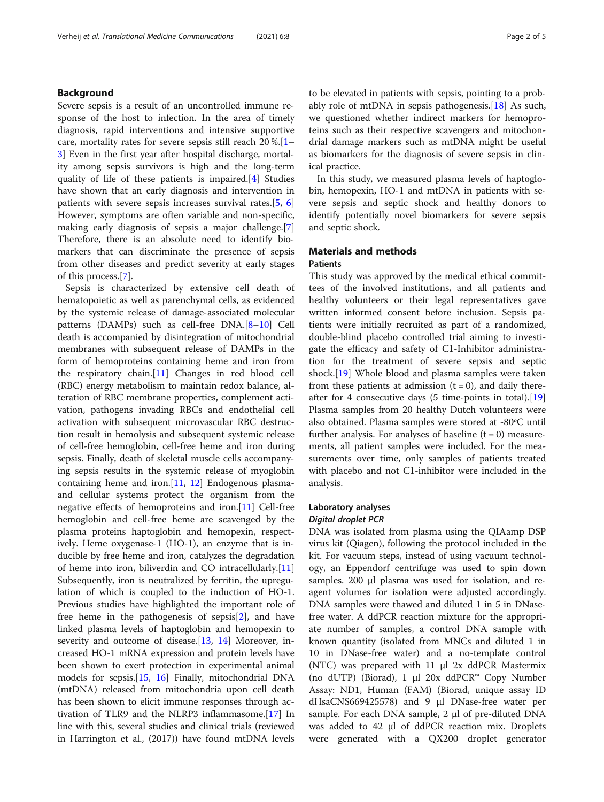# Background

Severe sepsis is a result of an uncontrolled immune response of the host to infection. In the area of timely diagnosis, rapid interventions and intensive supportive care, mortality rates for severe sepsis still reach 20 %.[[1](#page-4-0)– [3\]](#page-4-0) Even in the first year after hospital discharge, mortality among sepsis survivors is high and the long-term quality of life of these patients is impaired.[[4](#page-4-0)] Studies have shown that an early diagnosis and intervention in patients with severe sepsis increases survival rates.[[5](#page-4-0), [6](#page-4-0)] However, symptoms are often variable and non-specific, making early diagnosis of sepsis a major challenge.[\[7](#page-4-0)] Therefore, there is an absolute need to identify biomarkers that can discriminate the presence of sepsis from other diseases and predict severity at early stages of this process.[\[7\]](#page-4-0).

Sepsis is characterized by extensive cell death of hematopoietic as well as parenchymal cells, as evidenced by the systemic release of damage-associated molecular patterns (DAMPs) such as cell-free DNA.[[8](#page-4-0)–[10](#page-4-0)] Cell death is accompanied by disintegration of mitochondrial membranes with subsequent release of DAMPs in the form of hemoproteins containing heme and iron from the respiratory chain.[[11](#page-4-0)] Changes in red blood cell (RBC) energy metabolism to maintain redox balance, alteration of RBC membrane properties, complement activation, pathogens invading RBCs and endothelial cell activation with subsequent microvascular RBC destruction result in hemolysis and subsequent systemic release of cell-free hemoglobin, cell-free heme and iron during sepsis. Finally, death of skeletal muscle cells accompanying sepsis results in the systemic release of myoglobin containing heme and iron.[\[11](#page-4-0), [12](#page-4-0)] Endogenous plasmaand cellular systems protect the organism from the negative effects of hemoproteins and iron.[\[11](#page-4-0)] Cell-free hemoglobin and cell-free heme are scavenged by the plasma proteins haptoglobin and hemopexin, respectively. Heme oxygenase-1 (HO-1), an enzyme that is inducible by free heme and iron, catalyzes the degradation of heme into iron, biliverdin and CO intracellularly.[[11](#page-4-0)] Subsequently, iron is neutralized by ferritin, the upregulation of which is coupled to the induction of HO-1. Previous studies have highlighted the important role of free heme in the pathogenesis of sepsis[[2](#page-4-0)], and have linked plasma levels of haptoglobin and hemopexin to severity and outcome of disease.[\[13](#page-4-0), [14\]](#page-4-0) Moreover, increased HO-1 mRNA expression and protein levels have been shown to exert protection in experimental animal models for sepsis.[[15](#page-4-0), [16\]](#page-4-0) Finally, mitochondrial DNA (mtDNA) released from mitochondria upon cell death has been shown to elicit immune responses through activation of TLR9 and the NLRP3 inflammasome.[[17\]](#page-4-0) In line with this, several studies and clinical trials (reviewed in Harrington et al., (2017)) have found mtDNA levels

to be elevated in patients with sepsis, pointing to a probably role of mtDNA in sepsis pathogenesis. $[18]$  As such, we questioned whether indirect markers for hemoproteins such as their respective scavengers and mitochondrial damage markers such as mtDNA might be useful as biomarkers for the diagnosis of severe sepsis in clinical practice.

In this study, we measured plasma levels of haptoglobin, hemopexin, HO-1 and mtDNA in patients with severe sepsis and septic shock and healthy donors to identify potentially novel biomarkers for severe sepsis and septic shock.

# Materials and methods

# Patients

This study was approved by the medical ethical committees of the involved institutions, and all patients and healthy volunteers or their legal representatives gave written informed consent before inclusion. Sepsis patients were initially recruited as part of a randomized, double-blind placebo controlled trial aiming to investigate the efficacy and safety of C1-Inhibitor administration for the treatment of severe sepsis and septic shock.[[19](#page-4-0)] Whole blood and plasma samples were taken from these patients at admission  $(t = 0)$ , and daily thereafter for 4 consecutive days (5 time-points in total).[[19](#page-4-0)] Plasma samples from 20 healthy Dutch volunteers were also obtained. Plasma samples were stored at -80ºC until further analysis. For analyses of baseline  $(t = 0)$  measurements, all patient samples were included. For the measurements over time, only samples of patients treated with placebo and not C1-inhibitor were included in the analysis.

# Laboratory analyses Digital droplet PCR

DNA was isolated from plasma using the QIAamp DSP virus kit (Qiagen), following the protocol included in the kit. For vacuum steps, instead of using vacuum technology, an Eppendorf centrifuge was used to spin down samples. 200 µl plasma was used for isolation, and reagent volumes for isolation were adjusted accordingly. DNA samples were thawed and diluted 1 in 5 in DNasefree water. A ddPCR reaction mixture for the appropriate number of samples, a control DNA sample with known quantity (isolated from MNCs and diluted 1 in 10 in DNase-free water) and a no-template control (NTC) was prepared with 11 µl 2x ddPCR Mastermix (no dUTP) (Biorad), 1 µl 20x ddPCR™ Copy Number Assay: ND1, Human (FAM) (Biorad, unique assay ID dHsaCNS669425578) and 9 µl DNase-free water per sample. For each DNA sample,  $2 \mu l$  of pre-diluted DNA was added to 42 µl of ddPCR reaction mix. Droplets were generated with a QX200 droplet generator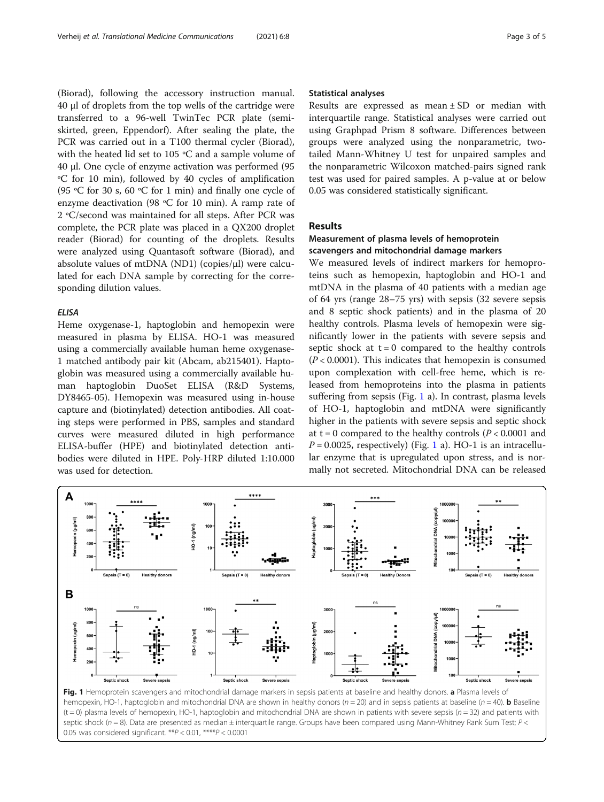<span id="page-2-0"></span>(Biorad), following the accessory instruction manual. 40 µl of droplets from the top wells of the cartridge were transferred to a 96-well TwinTec PCR plate (semiskirted, green, Eppendorf). After sealing the plate, the PCR was carried out in a T100 thermal cycler (Biorad), with the heated lid set to 105 ºC and a sample volume of 40 µl. One cycle of enzyme activation was performed (95 ºC for 10 min), followed by 40 cycles of amplification (95 ºC for 30 s, 60 ºC for 1 min) and finally one cycle of enzyme deactivation (98 ºC for 10 min). A ramp rate of 2 ºC/second was maintained for all steps. After PCR was complete, the PCR plate was placed in a QX200 droplet reader (Biorad) for counting of the droplets. Results were analyzed using Quantasoft software (Biorad), and absolute values of mtDNA (ND1) (copies/ $\mu$ l) were calculated for each DNA sample by correcting for the corresponding dilution values.

## ELISA

Heme oxygenase-1, haptoglobin and hemopexin were measured in plasma by ELISA. HO-1 was measured using a commercially available human heme oxygenase-1 matched antibody pair kit (Abcam, ab215401). Haptoglobin was measured using a commercially available human haptoglobin DuoSet ELISA (R&D Systems, DY8465-05). Hemopexin was measured using in-house capture and (biotinylated) detection antibodies. All coating steps were performed in PBS, samples and standard curves were measured diluted in high performance ELISA-buffer (HPE) and biotinylated detection antibodies were diluted in HPE. Poly-HRP diluted 1:10.000 was used for detection.

#### Statistical analyses

Results are expressed as mean ± SD or median with interquartile range. Statistical analyses were carried out using Graphpad Prism 8 software. Differences between groups were analyzed using the nonparametric, twotailed Mann-Whitney U test for unpaired samples and the nonparametric Wilcoxon matched-pairs signed rank test was used for paired samples. A p-value at or below 0.05 was considered statistically significant.

# Results

# Measurement of plasma levels of hemoprotein scavengers and mitochondrial damage markers

We measured levels of indirect markers for hemoproteins such as hemopexin, haptoglobin and HO-1 and mtDNA in the plasma of 40 patients with a median age of 64 yrs (range 28–75 yrs) with sepsis (32 severe sepsis and 8 septic shock patients) and in the plasma of 20 healthy controls. Plasma levels of hemopexin were significantly lower in the patients with severe sepsis and septic shock at  $t = 0$  compared to the healthy controls  $(P < 0.0001)$ . This indicates that hemopexin is consumed upon complexation with cell-free heme, which is released from hemoproteins into the plasma in patients suffering from sepsis (Fig. 1 a). In contrast, plasma levels of HO-1, haptoglobin and mtDNA were significantly higher in the patients with severe sepsis and septic shock at  $t = 0$  compared to the healthy controls ( $P < 0.0001$  and  $P = 0.0025$ , respectively) (Fig. 1 a). HO-1 is an intracellular enzyme that is upregulated upon stress, and is normally not secreted. Mitochondrial DNA can be released



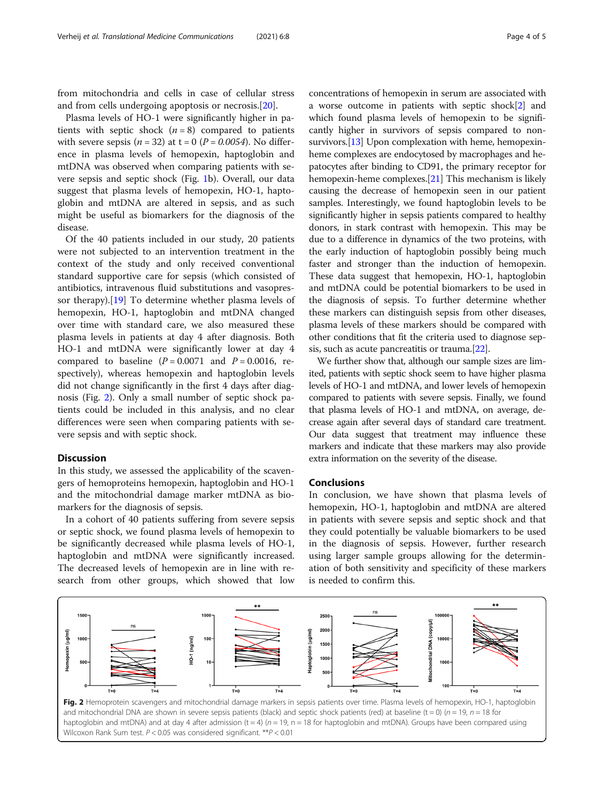from mitochondria and cells in case of cellular stress and from cells undergoing apoptosis or necrosis.[[20\]](#page-4-0).

Plasma levels of HO-1 were significantly higher in patients with septic shock  $(n = 8)$  compared to patients with severe sepsis ( $n = 32$ ) at t = 0 ( $P = 0.0054$ ). No difference in plasma levels of hemopexin, haptoglobin and mtDNA was observed when comparing patients with severe sepsis and septic shock (Fig. [1](#page-2-0)b). Overall, our data suggest that plasma levels of hemopexin, HO-1, haptoglobin and mtDNA are altered in sepsis, and as such might be useful as biomarkers for the diagnosis of the disease.

Of the 40 patients included in our study, 20 patients were not subjected to an intervention treatment in the context of the study and only received conventional standard supportive care for sepsis (which consisted of antibiotics, intravenous fluid substitutions and vasopressor therapy).[[19\]](#page-4-0) To determine whether plasma levels of hemopexin, HO-1, haptoglobin and mtDNA changed over time with standard care, we also measured these plasma levels in patients at day 4 after diagnosis. Both HO-1 and mtDNA were significantly lower at day 4 compared to baseline  $(P = 0.0071$  and  $P = 0.0016$ , respectively), whereas hemopexin and haptoglobin levels did not change significantly in the first 4 days after diagnosis (Fig. 2). Only a small number of septic shock patients could be included in this analysis, and no clear differences were seen when comparing patients with severe sepsis and with septic shock.

# **Discussion**

In this study, we assessed the applicability of the scavengers of hemoproteins hemopexin, haptoglobin and HO-1 and the mitochondrial damage marker mtDNA as biomarkers for the diagnosis of sepsis.

In a cohort of 40 patients suffering from severe sepsis or septic shock, we found plasma levels of hemopexin to be significantly decreased while plasma levels of HO-1, haptoglobin and mtDNA were significantly increased. The decreased levels of hemopexin are in line with research from other groups, which showed that low concentrations of hemopexin in serum are associated with a worse outcome in patients with septic shock[[2](#page-4-0)] and which found plasma levels of hemopexin to be significantly higher in survivors of sepsis compared to non-survivors.<sup>[\[13\]](#page-4-0)</sup> Upon complexation with heme, hemopexinheme complexes are endocytosed by macrophages and hepatocytes after binding to CD91, the primary receptor for hemopexin-heme complexes.[[21](#page-4-0)] This mechanism is likely causing the decrease of hemopexin seen in our patient samples. Interestingly, we found haptoglobin levels to be significantly higher in sepsis patients compared to healthy donors, in stark contrast with hemopexin. This may be due to a difference in dynamics of the two proteins, with the early induction of haptoglobin possibly being much faster and stronger than the induction of hemopexin. These data suggest that hemopexin, HO-1, haptoglobin and mtDNA could be potential biomarkers to be used in the diagnosis of sepsis. To further determine whether these markers can distinguish sepsis from other diseases, plasma levels of these markers should be compared with other conditions that fit the criteria used to diagnose sepsis, such as acute pancreatitis or trauma.[[22](#page-4-0)].

We further show that, although our sample sizes are limited, patients with septic shock seem to have higher plasma levels of HO-1 and mtDNA, and lower levels of hemopexin compared to patients with severe sepsis. Finally, we found that plasma levels of HO-1 and mtDNA, on average, decrease again after several days of standard care treatment. Our data suggest that treatment may influence these markers and indicate that these markers may also provide extra information on the severity of the disease.

# Conclusions

In conclusion, we have shown that plasma levels of hemopexin, HO-1, haptoglobin and mtDNA are altered in patients with severe sepsis and septic shock and that they could potentially be valuable biomarkers to be used in the diagnosis of sepsis. However, further research using larger sample groups allowing for the determination of both sensitivity and specificity of these markers is needed to confirm this.